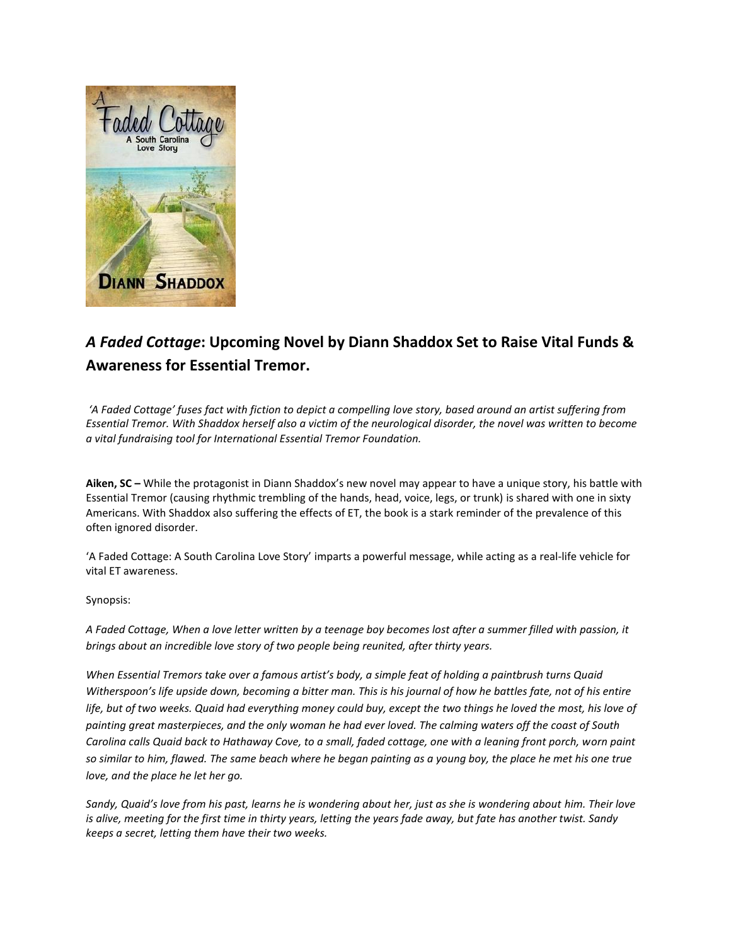

## *A Faded Cottage***: Upcoming Novel by Diann Shaddox Set to Raise Vital Funds & Awareness for Essential Tremor.**

*'A Faded Cottage' fuses fact with fiction to depict a compelling love story, based around an artist suffering from Essential Tremor. With Shaddox herself also a victim of the neurological disorder, the novel was written to become a vital fundraising tool for International Essential Tremor Foundation.*

**Aiken, SC –** While the protagonist in Diann Shaddox's new novel may appear to have a unique story, his battle with Essential Tremor (causing rhythmic trembling of the hands, head, voice, legs, or trunk) is shared with one in sixty Americans. With Shaddox also suffering the effects of ET, the book is a stark reminder of the prevalence of this often ignored disorder.

'A Faded Cottage: A South Carolina Love Story' imparts a powerful message, while acting as a real-life vehicle for vital ET awareness.

Synopsis:

*A Faded Cottage, When a love letter written by a teenage boy becomes lost after a summer filled with passion, it brings about an incredible love story of two people being reunited, after thirty years.* 

*When Essential Tremors take over a famous artist's body, a simple feat of holding a paintbrush turns Quaid Witherspoon's life upside down, becoming a bitter man. This is his journal of how he battles fate, not of his entire life, but of two weeks. Quaid had everything money could buy, except the two things he loved the most, his love of painting great masterpieces, and the only woman he had ever loved. The calming waters off the coast of South Carolina calls Quaid back to Hathaway Cove, to a small, faded cottage, one with a leaning front porch, worn paint so similar to him, flawed. The same beach where he began painting as a young boy, the place he met his one true love, and the place he let her go.*

*Sandy, Quaid's love from his past, learns he is wondering about her, just as she is wondering about him. Their love is alive, meeting for the first time in thirty years, letting the years fade away, but fate has another twist. Sandy keeps a secret, letting them have their two weeks.*